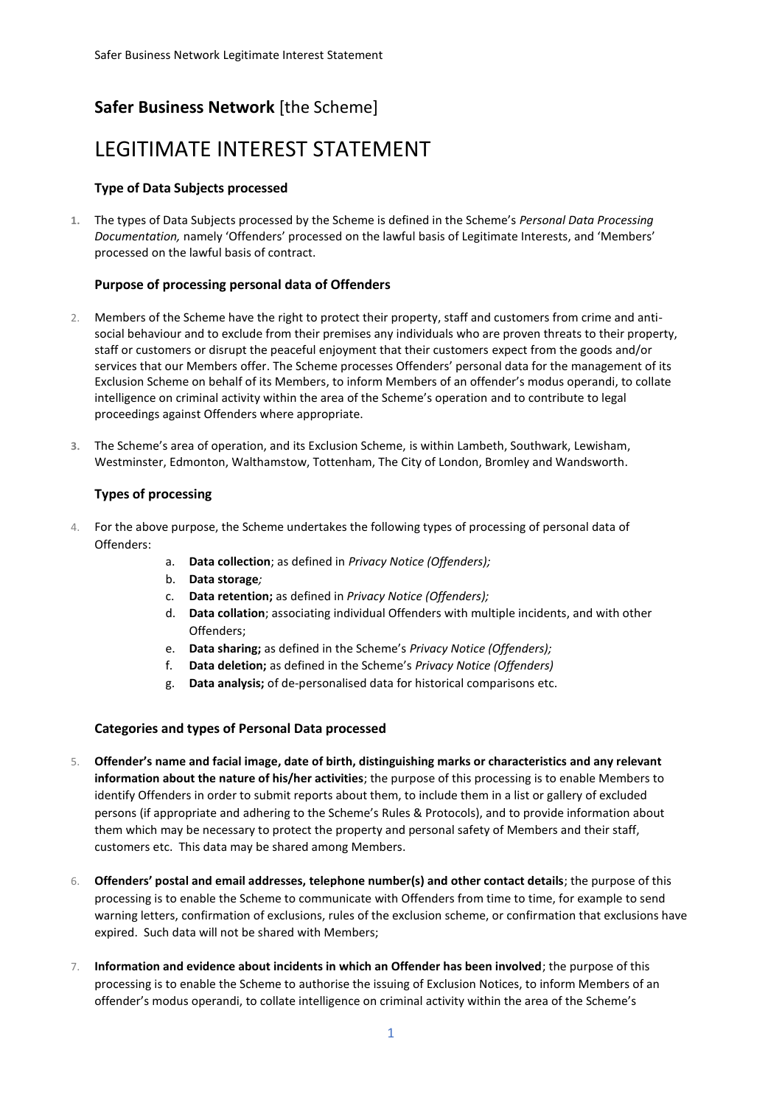## **Safer Business Network** [the Scheme]

# LEGITIMATE INTEREST STATEMENT

### **Type of Data Subjects processed**

**1.** The types of Data Subjects processed by the Scheme is defined in the Scheme's *Personal Data Processing Documentation,* namely 'Offenders' processed on the lawful basis of Legitimate Interests, and 'Members' processed on the lawful basis of contract.

#### **Purpose of processing personal data of Offenders**

- 2. Members of the Scheme have the right to protect their property, staff and customers from crime and antisocial behaviour and to exclude from their premises any individuals who are proven threats to their property, staff or customers or disrupt the peaceful enjoyment that their customers expect from the goods and/or services that our Members offer. The Scheme processes Offenders' personal data for the management of its Exclusion Scheme on behalf of its Members, to inform Members of an offender's modus operandi, to collate intelligence on criminal activity within the area of the Scheme's operation and to contribute to legal proceedings against Offenders where appropriate.
- **3.** The Scheme's area of operation, and its Exclusion Scheme, is within Lambeth, Southwark, Lewisham, Westminster, Edmonton, Walthamstow, Tottenham, The City of London, Bromley and Wandsworth.

#### **Types of processing**

- 4. For the above purpose, the Scheme undertakes the following types of processing of personal data of Offenders:
	- a. **Data collection**; as defined in *Privacy Notice (Offenders);*
	- b. **Data storage***;*
	- c. **Data retention;** as defined in *Privacy Notice (Offenders);*
	- d. **Data collation**; associating individual Offenders with multiple incidents, and with other Offenders;
	- e. **Data sharing;** as defined in the Scheme's *Privacy Notice (Offenders);*
	- f. **Data deletion;** as defined in the Scheme's *Privacy Notice (Offenders)*
	- g. **Data analysis;** of de-personalised data for historical comparisons etc.

#### **Categories and types of Personal Data processed**

- 5. **Offender's name and facial image, date of birth, distinguishing marks or characteristics and any relevant information about the nature of his/her activities**; the purpose of this processing is to enable Members to identify Offenders in order to submit reports about them, to include them in a list or gallery of excluded persons (if appropriate and adhering to the Scheme's Rules & Protocols), and to provide information about them which may be necessary to protect the property and personal safety of Members and their staff, customers etc. This data may be shared among Members.
- 6. **Offenders' postal and email addresses, telephone number(s) and other contact details**; the purpose of this processing is to enable the Scheme to communicate with Offenders from time to time, for example to send warning letters, confirmation of exclusions, rules of the exclusion scheme, or confirmation that exclusions have expired. Such data will not be shared with Members;
- 7. **Information and evidence about incidents in which an Offender has been involved**; the purpose of this processing is to enable the Scheme to authorise the issuing of Exclusion Notices, to inform Members of an offender's modus operandi, to collate intelligence on criminal activity within the area of the Scheme's